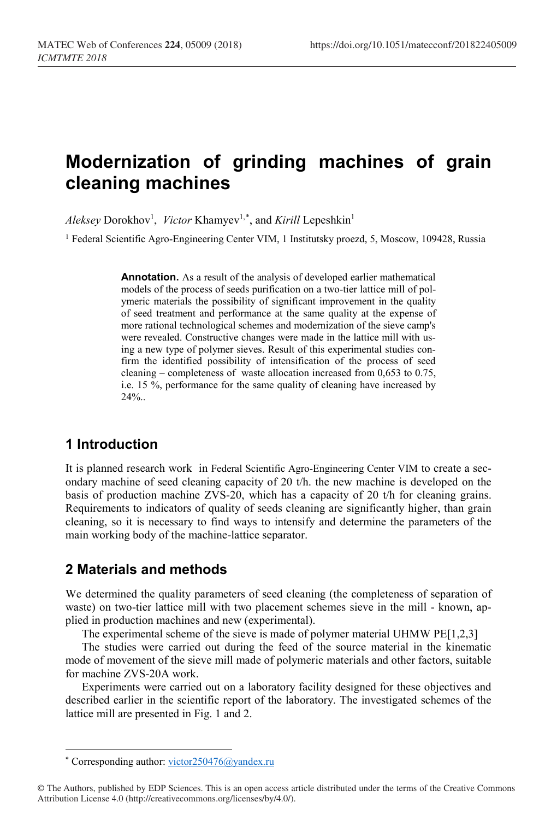# **Modernization of grinding machines of grain cleaning machines**

 $\Lambda$ *leksey* Dorokhov<sup>1</sup>, *Victor* Khamyev<sup>1,[\\*](#page-0-0)</sup>, and *Kirill* Lepeshkin<sup>1</sup>

<sup>1</sup> Federal Scientific Agro-Engineering Center VIM, 1 Institutsky proezd, 5, Moscow, 109428, Russia

**Annotation.** As a result of the analysis of developed earlier mathematical models of the process of seeds purification on a two-tier lattice mill of polymeric materials the possibility of significant improvement in the quality of seed treatment and performance at the same quality at the expense of more rational technological schemes and modernization of the sieve camp's were revealed. Constructive changes were made in the lattice mill with using a new type of polymer sieves. Result of this experimental studies confirm the identified possibility of intensification of the process of seed cleaning – completeness of waste allocation increased from 0,653 to 0.75, i.e. 15 %, performance for the same quality of cleaning have increased by 24%..

# **1 Introduction**

It is planned research work in Federal Scientific Agro-Engineering Center VIM to create a secondary machine of seed cleaning capacity of 20 t/h. the new machine is developed on the basis of production machine ZVS-20, which has a capacity of 20 t/h for cleaning grains. Requirements to indicators of quality of seeds cleaning are significantly higher, than grain cleaning, so it is necessary to find ways to intensify and determine the parameters of the main working body of the machine-lattice separator.

## **2 Materials and methods**

We determined the quality parameters of seed cleaning (the completeness of separation of waste) on two-tier lattice mill with two placement schemes sieve in the mill - known, applied in production machines and new (experimental).

The experimental scheme of the sieve is made of polymer material UHMW PE[1,2,3]

The studies were carried out during the feed of the source material in the kinematic mode of movement of the sieve mill made of polymeric materials and other factors, suitable for machine ZVS-20A work.

Experiments were carried out on a laboratory facility designed for these objectives and described earlier in the scientific report of the laboratory. The investigated schemes of the lattice mill are presented in Fig. 1 and 2.

 $\overline{\phantom{a}}$ 

<sup>\*</sup> Corresponding author: victor250476@yandex.ru

<span id="page-0-0"></span><sup>©</sup> The Authors, published by EDP Sciences. This is an open access article distributed under the terms of the Creative Commons Attribution License 4.0 (http://creativecommons.org/licenses/by/4.0/).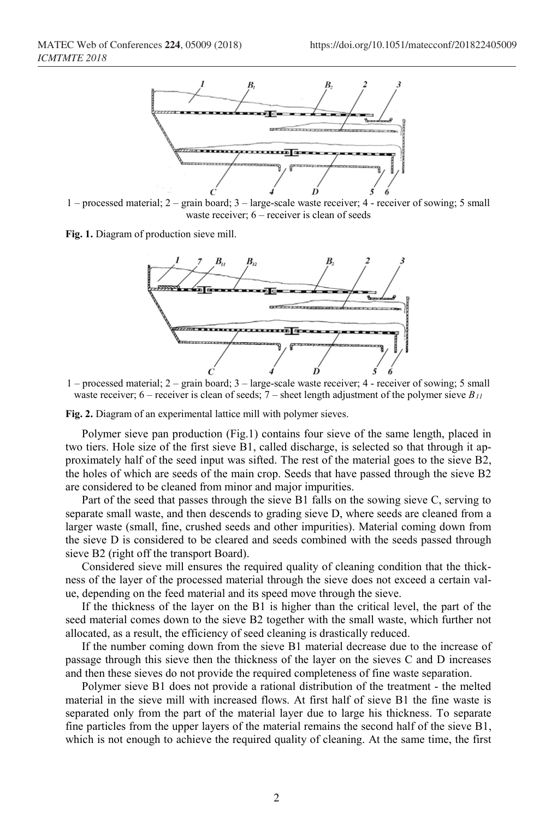

1 – processed material; 2 – grain board; 3 – large-scale waste receiver; 4 - receiver of sowing; 5 small waste receiver; 6 – receiver is clean of seeds

**Fig. 1.** Diagram of production sieve mill.



1 – processed material; 2 – grain board; 3 – large-scale waste receiver; 4 - receiver of sowing; 5 small waste receiver; 6 – receiver is clean of seeds; 7 – sheet length adjustment of the polymer sieve *B11*

**Fig. 2.** Diagram of an experimental lattice mill with polymer sieves.

Polymer sieve pan production (Fig.1) contains four sieve of the same length, placed in two tiers. Hole size of the first sieve B1, called discharge, is selected so that through it approximately half of the seed input was sifted. The rest of the material goes to the sieve B2, the holes of which are seeds of the main crop. Seeds that have passed through the sieve B2 are considered to be cleaned from minor and major impurities.

Part of the seed that passes through the sieve B1 falls on the sowing sieve C, serving to separate small waste, and then descends to grading sieve D, where seeds are cleaned from a larger waste (small, fine, crushed seeds and other impurities). Material coming down from the sieve D is considered to be cleared and seeds combined with the seeds passed through sieve B2 (right off the transport Board).

Considered sieve mill ensures the required quality of cleaning condition that the thickness of the layer of the processed material through the sieve does not exceed a certain value, depending on the feed material and its speed move through the sieve.

If the thickness of the layer on the B1 is higher than the critical level, the part of the seed material comes down to the sieve B2 together with the small waste, which further not allocated, as a result, the efficiency of seed cleaning is drastically reduced.

If the number coming down from the sieve B1 material decrease due to the increase of passage through this sieve then the thickness of the layer on the sieves C and D increases and then these sieves do not provide the required completeness of fine waste separation.

Polymer sieve B1 does not provide a rational distribution of the treatment - the melted material in the sieve mill with increased flows. At first half of sieve B1 the fine waste is separated only from the part of the material layer due to large his thickness. To separate fine particles from the upper layers of the material remains the second half of the sieve B1, which is not enough to achieve the required quality of cleaning. At the same time, the first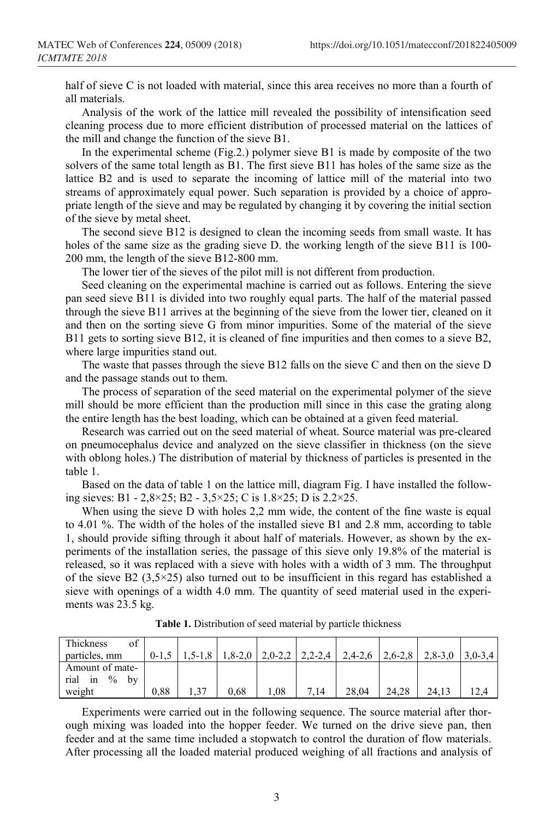half of sieve C is not loaded with material, since this area receives no more than a fourth of all materials.

Analysis of the work of the lattice mill revealed the possibility of intensification seed cleaning process due to more efficient distribution of processed material on the lattices of the mill and change the function of the sieve B1.

In the experimental scheme (Fig.2.) polymer sieve B1 is made by composite of the two solvers of the same total length as B1. The first sieve B11 has holes of the same size as the lattice B2 and is used to separate the incoming of lattice mill of the material into two streams of approximately equal power. Such separation is provided by a choice of appropriate length of the sieve and may be regulated by changing it by covering the initial section of the sieve by metal sheet.

The second sieve B12 is designed to clean the incoming seeds from small waste. It has holes of the same size as the grading sieve D. the working length of the sieve B11 is 100- 200 mm, the length of the sieve B12-800 mm.

The lower tier of the sieves of the pilot mill is not different from production.

Seed cleaning on the experimental machine is carried out as follows. Entering the sieve pan seed sieve B11 is divided into two roughly equal parts. The half of the material passed through the sieve B11 arrives at the beginning of the sieve from the lower tier, cleaned on it and then on the sorting sieve G from minor impurities. Some of the material of the sieve B11 gets to sorting sieve B12, it is cleaned of fine impurities and then comes to a sieve B2, where large impurities stand out.

The waste that passes through the sieve B12 falls on the sieve C and then on the sieve D and the passage stands out to them.

The process of separation of the seed material on the experimental polymer of the sieve mill should be more efficient than the production mill since in this case the grating along the entire length has the best loading, which can be obtained at a given feed material.

Research was carried out on the seed material of wheat. Source material was pre-cleared on pneumocephalus device and analyzed on the sieve classifier in thickness (on the sieve with oblong holes.) The distribution of material by thickness of particles is presented in the table 1.

Based on the data of table 1 on the lattice mill, diagram Fig. I have installed the following sieves: B1 - 2,8×25; B2 - 3,5×25; C is 1.8×25; D is 2.2×25.

When using the sieve D with holes 2,2 mm wide, the content of the fine waste is equal to 4.01 %. The width of the holes of the installed sieve B1 and 2.8 mm, according to table 1, should provide sifting through it about half of materials. However, as shown by the experiments of the installation series, the passage of this sieve only 19.8% of the material is released, so it was replaced with a sieve with holes with a width of 3 mm. The throughput of the sieve B2 (3,5×25) also turned out to be insufficient in this regard has established a sieve with openings of a width 4.0 mm. The quantity of seed material used in the experiments was 23.5 kg.

| Thickness<br>of<br>particles, mm         | $0-1,5$ | $1,5-1,8$ |      |     |      | $1,8-2,0$   2,0-2,2   2,2-2,4   2,4-2,6 | $2,6-2,8$ | $2,8-3,0$ | $3.0 - 3.4$ |
|------------------------------------------|---------|-----------|------|-----|------|-----------------------------------------|-----------|-----------|-------------|
| Amount of mate-<br>rial<br>in $\%$<br>by |         |           |      |     |      |                                         |           |           |             |
| weight                                   | 0.88    |           | 0.68 | .08 | 7.14 | 28.04                                   | 24.28     | 24.13     |             |

**Table 1.** Distribution of seed material by particle thickness

Experiments were carried out in the following sequence. The source material after thorough mixing was loaded into the hopper feeder. We turned on the drive sieve pan, then feeder and at the same time included a stopwatch to control the duration of flow materials. After processing all the loaded material produced weighing of all fractions and analysis of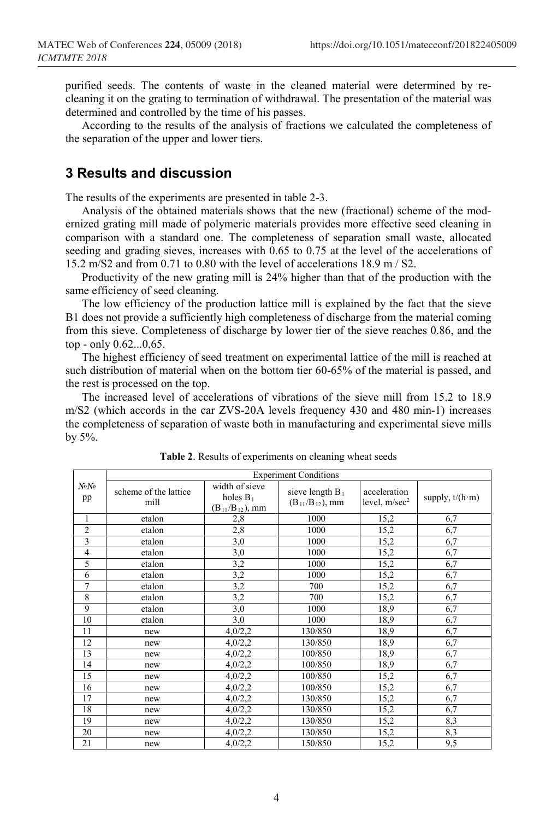purified seeds. The contents of waste in the cleaned material were determined by recleaning it on the grating to termination of withdrawal. The presentation of the material was determined and controlled by the time of his passes.

According to the results of the analysis of fractions we calculated the completeness of the separation of the upper and lower tiers.

#### **3 Results and discussion**

The results of the experiments are presented in table 2-3.

Analysis of the obtained materials shows that the new (fractional) scheme of the modernized grating mill made of polymeric materials provides more effective seed cleaning in comparison with a standard one. The completeness of separation small waste, allocated seeding and grading sieves, increases with 0.65 to 0.75 at the level of the accelerations of 15.2 m/S2 and from 0.71 to 0.80 with the level of accelerations 18.9 m / S2.

Productivity of the new grating mill is 24% higher than that of the production with the same efficiency of seed cleaning.

The low efficiency of the production lattice mill is explained by the fact that the sieve B1 does not provide a sufficiently high completeness of discharge from the material coming from this sieve. Completeness of discharge by lower tier of the sieve reaches 0.86, and the top - only 0.62...0,65.

The highest efficiency of seed treatment on experimental lattice of the mill is reached at such distribution of material when on the bottom tier 60-65% of the material is passed, and the rest is processed on the top.

The increased level of accelerations of vibrations of the sieve mill from 15.2 to 18.9 m/S2 (which accords in the car ZVS-20A levels frequency 430 and 480 min-1) increases the completeness of separation of waste both in manufacturing and experimental sieve mills by 5%.

|                        | <b>Experiment Conditions</b>  |                                                         |                                                       |                                 |                         |  |  |  |
|------------------------|-------------------------------|---------------------------------------------------------|-------------------------------------------------------|---------------------------------|-------------------------|--|--|--|
| No <sub>No</sub><br>pp | scheme of the lattice<br>mill | width of sieve<br>holes $B_1$<br>$(B_{11}/B_{12})$ , mm | sieve length B <sub>1</sub><br>$(B_{11}/B_{12})$ , mm | acceleration<br>level, $m/sec2$ | supply, $t/(h \cdot m)$ |  |  |  |
| 1                      | etalon                        | 2,8                                                     | 1000                                                  | 15,2                            | 6,7                     |  |  |  |
| $\overline{2}$         | etalon                        | 2,8                                                     | 1000                                                  | 15,2                            | 6,7                     |  |  |  |
| 3                      | etalon                        | 3,0                                                     | 1000                                                  | 15,2                            | 6,7                     |  |  |  |
| $\overline{4}$         | etalon                        | 3,0                                                     | 1000                                                  | 15,2                            | 6,7                     |  |  |  |
| 5                      | etalon                        | 3,2                                                     | 1000                                                  | 15,2                            | 6,7                     |  |  |  |
| 6                      | etalon                        | 3,2                                                     | 1000                                                  | 15,2                            | 6,7                     |  |  |  |
| $\overline{7}$         | etalon                        | 3,2                                                     | 700                                                   | 15,2                            | 6,7                     |  |  |  |
| 8                      | etalon                        | 3,2                                                     | 700                                                   | 15,2                            | 6,7                     |  |  |  |
| 9                      | etalon                        | 3,0                                                     | 1000                                                  | 18,9                            | 6,7                     |  |  |  |
| 10                     | etalon                        | 3,0                                                     | 1000                                                  | 18,9                            | 6,7                     |  |  |  |
| 11                     | new                           | 4,0/2,2                                                 | 130/850                                               | 18,9                            | 6,7                     |  |  |  |
| 12                     | new                           | 4,0/2,2                                                 | 130/850                                               | 18,9                            | 6,7                     |  |  |  |
| 13                     | new                           | 4,0/2,2                                                 | 100/850                                               | 18,9                            | 6,7                     |  |  |  |
| 14                     | new                           | 4,0/2,2                                                 | 100/850                                               | 18,9                            | 6,7                     |  |  |  |
| 15                     | new                           | 4,0/2,2                                                 | 100/850                                               | 15,2                            | 6,7                     |  |  |  |
| 16                     | new                           | 4,0/2,2                                                 | 100/850                                               | 15,2                            | 6,7                     |  |  |  |
| 17                     | new                           | 4,0/2,2                                                 | 130/850                                               | 15,2                            | 6,7                     |  |  |  |
| 18                     | new                           | 4,0/2,2                                                 | 130/850                                               | 15,2                            | 6,7                     |  |  |  |
| 19                     | new                           | 4,0/2,2                                                 | 130/850                                               | 15,2                            | 8,3                     |  |  |  |
| 20                     | new                           | 4,0/2,2                                                 | 130/850                                               | 15,2                            | 8,3                     |  |  |  |
| 21                     | new                           | 4,0/2,2                                                 | 150/850                                               | 15,2                            | 9,5                     |  |  |  |

**Table 2**. Results of experiments on cleaning wheat seeds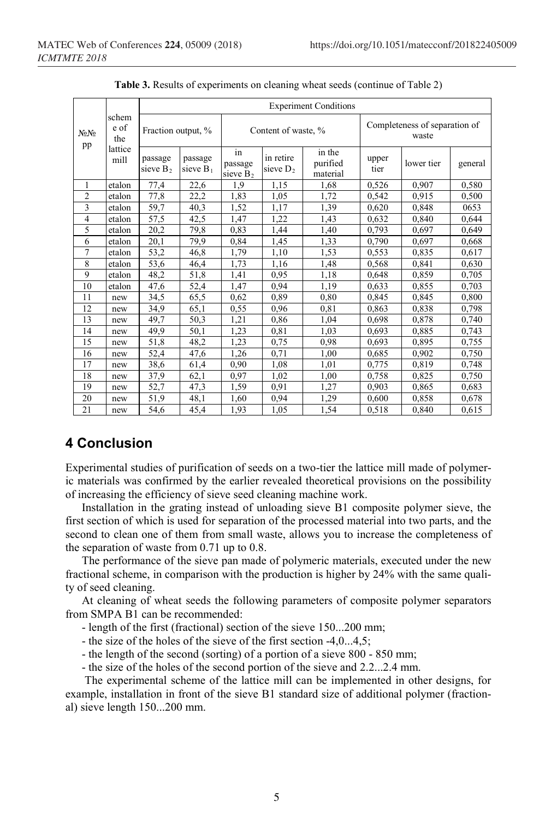| schem<br>e of<br>No No<br>the<br>pp<br>lattice<br>mill |                    | <b>Experiment Conditions</b> |                        |                              |                          |                                        |               |            |         |  |
|--------------------------------------------------------|--------------------|------------------------------|------------------------|------------------------------|--------------------------|----------------------------------------|---------------|------------|---------|--|
|                                                        | Fraction output, % |                              | Content of waste, %    |                              |                          | Completeness of separation of<br>waste |               |            |         |  |
|                                                        |                    | passage<br>sieve $B_2$       | passage<br>sieve $B_1$ | in<br>passage<br>sieve $B_2$ | in retire<br>sieve $D_2$ | in the<br>purified<br>material         | upper<br>tier | lower tier | general |  |
| 1                                                      | etalon             | 77,4                         | 22,6                   | 1,9                          | 1,15                     | 1,68                                   | 0,526         | 0,907      | 0,580   |  |
| $\overline{2}$                                         | etalon             | 77,8                         | 22,2                   | 1,83                         | 1.05                     | 1.72                                   | 0.542         | 0.915      | 0,500   |  |
| 3                                                      | etalon             | 59,7                         | 40,3                   | 1,52                         | 1,17                     | 1,39                                   | 0,620         | 0.848      | 0653    |  |
| $\overline{4}$                                         | etalon             | 57,5                         | 42,5                   | 1,47                         | 1,22                     | 1,43                                   | 0.632         | 0.840      | 0,644   |  |
| 5                                                      | etalon             | 20,2                         | 79,8                   | 0.83                         | 1,44                     | 1,40                                   | 0,793         | 0.697      | 0,649   |  |
| 6                                                      | etalon             | 20,1                         | 79,9                   | 0,84                         | 1,45                     | 1,33                                   | 0,790         | 0,697      | 0,668   |  |
| 7                                                      | etalon             | 53,2                         | 46,8                   | 1,79                         | 1,10                     | 1,53                                   | 0,553         | 0,835      | 0,617   |  |
| 8                                                      | etalon             | 53,6                         | 46,4                   | 1,73                         | 1,16                     | 1,48                                   | 0,568         | 0,841      | 0,630   |  |
| 9                                                      | etalon             | 48,2                         | 51,8                   | 1,41                         | 0,95                     | 1,18                                   | 0.648         | 0.859      | 0,705   |  |
| 10                                                     | etalon             | 47,6                         | 52,4                   | 1.47                         | 0.94                     | 1.19                                   | 0.633         | 0.855      | 0.703   |  |
| 11                                                     | new                | 34,5                         | 65,5                   | 0,62                         | 0,89                     | 0,80                                   | 0,845         | 0,845      | 0,800   |  |
| 12                                                     | new                | 34,9                         | 65,1                   | 0.55                         | 0,96                     | 0.81                                   | 0,863         | 0,838      | 0,798   |  |
| 13                                                     | new                | 49,7                         | 50,3                   | 1,21                         | 0,86                     | 1,04                                   | 0,698         | 0,878      | 0,740   |  |
| 14                                                     | new                | 49,9                         | 50,1                   | 1.23                         | 0,81                     | 1,03                                   | 0.693         | 0.885      | 0,743   |  |
| 15                                                     | new                | 51,8                         | 48,2                   | 1,23                         | 0.75                     | 0,98                                   | 0.693         | 0.895      | 0,755   |  |
| 16                                                     | new                | 52,4                         | 47,6                   | 1,26                         | 0,71                     | 1,00                                   | 0,685         | 0.902      | 0,750   |  |
| 17                                                     | new                | 38,6                         | 61,4                   | 0,90                         | 1,08                     | 1,01                                   | 0.775         | 0,819      | 0,748   |  |
| 18                                                     | new                | 37,9                         | 62,1                   | 0.97                         | 1.02                     | 1.00                                   | 0,758         | 0.825      | 0,750   |  |
| 19                                                     | new                | 52,7                         | 47,3                   | 1,59                         | 0,91                     | 1,27                                   | 0,903         | 0,865      | 0,683   |  |
| 20                                                     | new                | 51,9                         | 48,1                   | 1,60                         | 0,94                     | 1,29                                   | 0,600         | 0,858      | 0,678   |  |
| 21                                                     | new                | 54,6                         | 45,4                   | 1,93                         | 1,05                     | 1,54                                   | 0,518         | 0,840      | 0,615   |  |

**Table 3.** Results of experiments on cleaning wheat seeds (continue of Table 2)

# **4 Conclusion**

Experimental studies of purification of seeds on a two-tier the lattice mill made of polymeric materials was confirmed by the earlier revealed theoretical provisions on the possibility of increasing the efficiency of sieve seed cleaning machine work.

Installation in the grating instead of unloading sieve B1 composite polymer sieve, the first section of which is used for separation of the processed material into two parts, and the second to clean one of them from small waste, allows you to increase the completeness of the separation of waste from 0.71 up to 0.8.

The performance of the sieve pan made of polymeric materials, executed under the new fractional scheme, in comparison with the production is higher by 24% with the same quality of seed cleaning.

At cleaning of wheat seeds the following parameters of composite polymer separators from SMPA B1 can be recommended:

- length of the first (fractional) section of the sieve 150...200 mm;
- the size of the holes of the sieve of the first section -4,0...4,5;
- the length of the second (sorting) of a portion of a sieve 800 850 mm;
- the size of the holes of the second portion of the sieve and 2.2...2.4 mm.

The experimental scheme of the lattice mill can be implemented in other designs, for example, installation in front of the sieve B1 standard size of additional polymer (fractional) sieve length 150...200 mm.